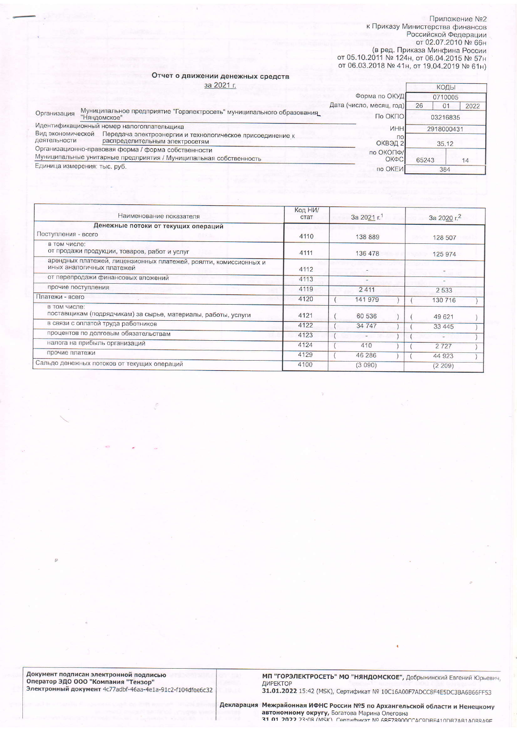Приложение №2 к Приказу Министерства финансов Российской Федерации от 02.07.2010 №<br>66н от 05.10.2011 №<br>89д. Приказа Минфина России<br>от 05.10.2011 № 124н, от 06.04.2015 № 57н от 06.03.2018 № 41н, от 19.04.2019 № 61н)

## Отчет о движении денежных средств  $22.2021$

|                                                                                                   | 3a 20211                                                                              |                          |                      | КОДЫ |  |
|---------------------------------------------------------------------------------------------------|---------------------------------------------------------------------------------------|--------------------------|----------------------|------|--|
|                                                                                                   |                                                                                       | Форма по ОКУД            | 0710005              |      |  |
|                                                                                                   |                                                                                       | Дата (число, месяц, год) | 26<br>0 <sub>1</sub> | 2022 |  |
| Организация                                                                                       | Муниципальное предприятие "Горэлектросеть" муниципального образования<br>"Няндомское" | По ОКПО                  | 03216835             |      |  |
|                                                                                                   | Идентификационный номер налогоплательщика                                             | <b>VIHH</b>              | 2918000431           |      |  |
| Вид экономической                                                                                 | Передача электроэнергии и технологическое присоединение к                             | $\overline{10}$          |                      |      |  |
| деятельности<br>распределительным электросетям                                                    |                                                                                       | ОКВЭД 2                  | 35.12                |      |  |
|                                                                                                   | Организационно-правовая форма / форма собственности                                   | по ОКОПФ/                |                      |      |  |
| Муниципальные унитарные предприятия / Муниципальная собственность<br>Единица измерения: тыс. руб. |                                                                                       | ОКФС                     | 65243                | 14   |  |
|                                                                                                   |                                                                                       | по ОКЕИ                  | 384                  |      |  |
|                                                                                                   |                                                                                       |                          |                      |      |  |

| Наименование показателя                                                                       | Код НИ/<br>стат | За 2021 г. | За 2020 г. <sup>2</sup>  |  |  |  |
|-----------------------------------------------------------------------------------------------|-----------------|------------|--------------------------|--|--|--|
| Денежные потоки от текущих операций                                                           |                 |            |                          |  |  |  |
| Поступления - всего                                                                           | 4110            | 138 889    | 128 507                  |  |  |  |
| в том числе:<br>от продажи продукции, товаров, работ и услуг                                  | 4111            | 136 478    | 125 974                  |  |  |  |
| арендных платежей, лицензионных платежей, роялти, комиссионных и<br>иных аналогичных платежей | 4112            |            |                          |  |  |  |
| от перепродажи финансовых вложений                                                            | 4113            |            | $\overline{\phantom{a}}$ |  |  |  |
| прочие поступления                                                                            | 4119            | 2411       | 2533                     |  |  |  |
| Платежи - всего                                                                               | 4120            | 141 979    | 130 716                  |  |  |  |
| в том числе:<br>поставщикам (подрядчикам) за сырье, материалы, работы, услуги                 | 4121            | 60 536     | 49 621                   |  |  |  |
| в связи с оплатой труда работников                                                            | 4122            | 34 747     | 33 4 4 5                 |  |  |  |
| процентов по долговым обязательствам                                                          | 4123            |            | $\overline{\phantom{a}}$ |  |  |  |
| налога на прибыль организаций                                                                 | 4124            | 410        | 2 7 2 7                  |  |  |  |
| прочие платежи                                                                                | 4129            | 46 286     | 44 923                   |  |  |  |
| Сальдо денежных потоков от текущих операций                                                   | 4100            | (3090)     | (2209)                   |  |  |  |

Документ подписан электронной подписью<br>Оператор ЭДО ООО "Компания "Тензор"<br>Электронный документ 4с77adbf-46aa-4e1a-91c2-f104dfee6c32

МП "ГОРЭЛЕКТРОСЕТЬ" МО "НЯНДОМСКОЕ", Добрынинский Евгений Юрьевич,<br>ДИРЕКТОР 31.01.2022 15:42 (МSК), Сертификат № 10С16А00F7ADCC8F4E5DC3BA6B66FF53

Декларация Межрайонная ИФНС России №5 по Архангельской области и Ненецкому **автономному округу,** Богатова Марина Олеговна<br>**31 01 2022** 23:08 (MSK) Centradiator Nº 6RE78900CCAC9DRE410DR74R140R849E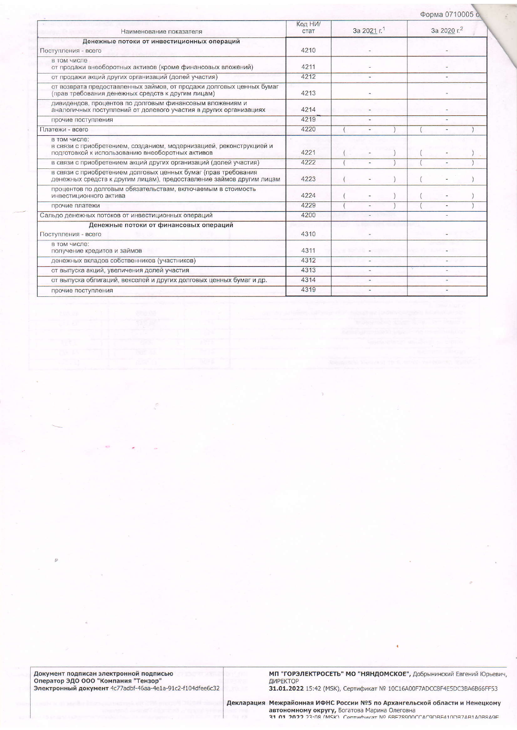|                                                                                                                                         |                 |                         |  |  |                         | Форма 0710005 с. |  |  |  |
|-----------------------------------------------------------------------------------------------------------------------------------------|-----------------|-------------------------|--|--|-------------------------|------------------|--|--|--|
| Наименование показателя                                                                                                                 | Код НИ/<br>стат | За 2021 г. <sup>1</sup> |  |  | За 2020 г. <sup>2</sup> |                  |  |  |  |
| Денежные потоки от инвестиционных операций<br>Поступления - всего                                                                       |                 |                         |  |  |                         |                  |  |  |  |
| в том числе<br>от продажи внеоборотных активов (кроме финансовых вложений)                                                              | 4211            |                         |  |  |                         |                  |  |  |  |
| от продажи акций других организаций (долей участия)                                                                                     | 4212            |                         |  |  |                         |                  |  |  |  |
| от возврата предоставленных займов, от продажи долговых ценных бумаг<br>(прав требования денежных средств к другим лицам)               | 4213            |                         |  |  |                         |                  |  |  |  |
| дивидендов, процентов по долговым финансовым вложениям и<br>аналогичных поступлений от долевого участия в других организациях           | 4214            |                         |  |  |                         |                  |  |  |  |
| прочие поступления                                                                                                                      | 4219            |                         |  |  |                         |                  |  |  |  |
| Платежи - всего                                                                                                                         | 4220            |                         |  |  |                         |                  |  |  |  |
| в том числе:<br>в связи с приобретением, созданием, модернизацией, реконструкцией и<br>подготовкой к использованию внеоборотных активов | 4221            |                         |  |  |                         |                  |  |  |  |
| в связи с приобретением акций других организаций (долей участия)                                                                        | 4222            |                         |  |  |                         | $\overline{a}$   |  |  |  |
| в связи с приобретением долговых ценных бумаг (прав требования<br>денежных средств к другим лицам), предоставление займов другим лицам  | 4223            |                         |  |  |                         |                  |  |  |  |
| процентов по долговым обязательствам, включаемым в стоимость<br>инвестиционного актива                                                  | 4224            |                         |  |  |                         |                  |  |  |  |
| прочие платежи                                                                                                                          | 4229            |                         |  |  |                         | ٠                |  |  |  |
| Сальдо денежных потоков от инвестиционных операций                                                                                      | 4200            |                         |  |  |                         |                  |  |  |  |
| Денежные потоки от финансовых операций<br>Поступления - всего                                                                           | 4310            |                         |  |  |                         |                  |  |  |  |
| в том числе:<br>получение кредитов и займов                                                                                             | 4311            |                         |  |  |                         |                  |  |  |  |
| денежных вкладов собственников (участников)                                                                                             | 4312            |                         |  |  |                         |                  |  |  |  |
| от выпуска акций, увеличения долей участия                                                                                              | 4313            |                         |  |  |                         |                  |  |  |  |
| от выпуска облигаций, векселей и других долговых ценных бумаг и др.                                                                     | 4314            |                         |  |  |                         |                  |  |  |  |
| прочие поступления                                                                                                                      | 4319            |                         |  |  |                         |                  |  |  |  |

Документ подписан электронной подписью<br>Оператор ЭДО ООО "Компания "Тензор"<br>Электронный документ 4c77adbf-46aa-4e1a-91c2-f104dfee6c32

МП "ГОРЭЛЕКТРОСЕТЬ" МО "НЯНДОМСКОЕ", Добрынинский Евгений Юрьевич,<br>ДИРЕКТОР<br>31.01.2022 15:42 (MSK), Сертификат № 10С16А00F7ADCC8F4E5DC3BA6B66FF53